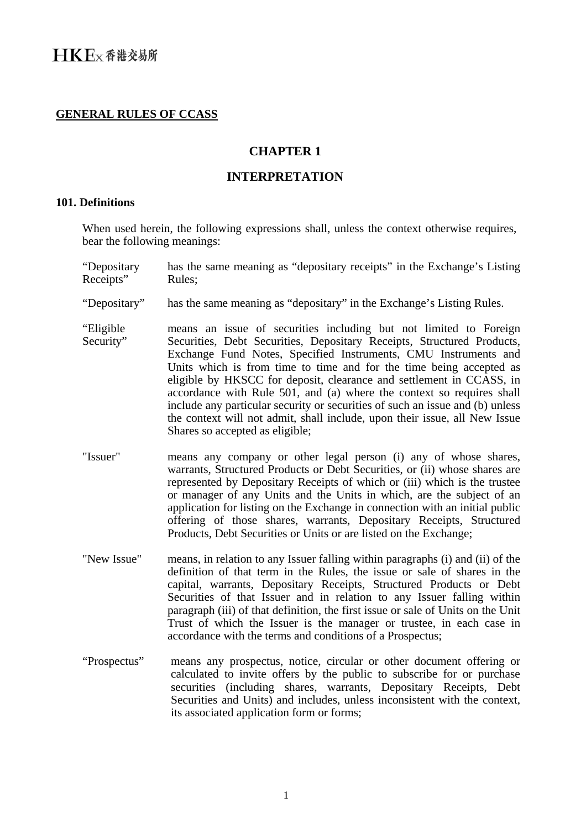### **GENERAL RULES OF CCASS**

## **CHAPTER 1**

## **INTERPRETATION**

### **101. Definitions**

When used herein, the following expressions shall, unless the context otherwise requires, bear the following meanings:

- "Depositary Receipts" has the same meaning as "depositary receipts" in the Exchange's Listing Rules;
- "Depositary" has the same meaning as "depositary" in the Exchange's Listing Rules.
- "Eligible Security" means an issue of securities including but not limited to Foreign Securities, Debt Securities, Depositary Receipts, Structured Products, Exchange Fund Notes, Specified Instruments, CMU Instruments and Units which is from time to time and for the time being accepted as eligible by HKSCC for deposit, clearance and settlement in CCASS, in accordance with Rule 501, and (a) where the context so requires shall include any particular security or securities of such an issue and (b) unless the context will not admit, shall include, upon their issue, all New Issue Shares so accepted as eligible;
- "Issuer" means any company or other legal person (i) any of whose shares, warrants, Structured Products or Debt Securities, or (ii) whose shares are represented by Depositary Receipts of which or (iii) which is the trustee or manager of any Units and the Units in which, are the subject of an application for listing on the Exchange in connection with an initial public offering of those shares, warrants, Depositary Receipts, Structured Products, Debt Securities or Units or are listed on the Exchange;
- "New Issue" means, in relation to any Issuer falling within paragraphs (i) and (ii) of the definition of that term in the Rules, the issue or sale of shares in the capital, warrants, Depositary Receipts, Structured Products or Debt Securities of that Issuer and in relation to any Issuer falling within paragraph (iii) of that definition, the first issue or sale of Units on the Unit Trust of which the Issuer is the manager or trustee, in each case in accordance with the terms and conditions of a Prospectus;
- "Prospectus" means any prospectus, notice, circular or other document offering or calculated to invite offers by the public to subscribe for or purchase securities (including shares, warrants, Depositary Receipts, Debt Securities and Units) and includes, unless inconsistent with the context, its associated application form or forms;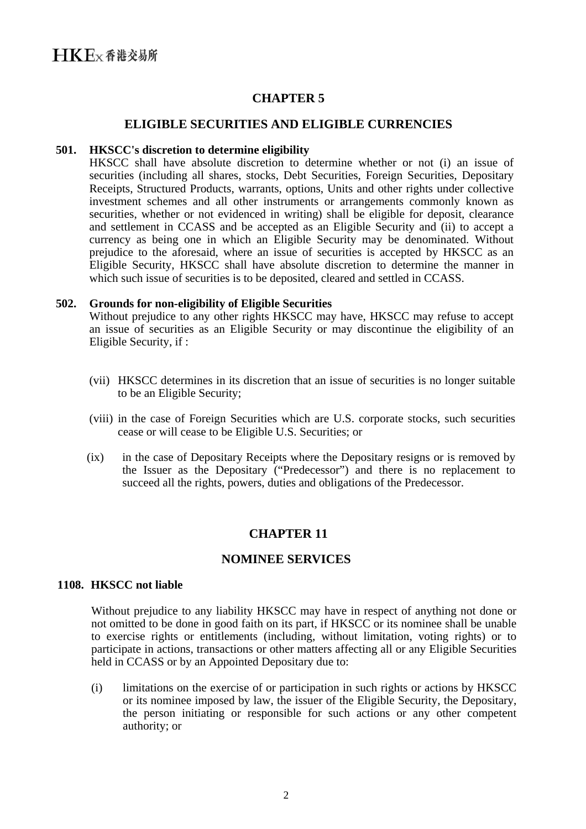# **CHAPTER 5**

### **ELIGIBLE SECURITIES AND ELIGIBLE CURRENCIES**

#### **501. HKSCC's discretion to determine eligibility**

HKSCC shall have absolute discretion to determine whether or not (i) an issue of securities (including all shares, stocks, Debt Securities, Foreign Securities, Depositary Receipts, Structured Products, warrants, options, Units and other rights under collective investment schemes and all other instruments or arrangements commonly known as securities, whether or not evidenced in writing) shall be eligible for deposit, clearance and settlement in CCASS and be accepted as an Eligible Security and (ii) to accept a currency as being one in which an Eligible Security may be denominated. Without prejudice to the aforesaid, where an issue of securities is accepted by HKSCC as an Eligible Security, HKSCC shall have absolute discretion to determine the manner in which such issue of securities is to be deposited, cleared and settled in CCASS.

### **502. Grounds for non-eligibility of Eligible Securities**

Without prejudice to any other rights HKSCC may have, HKSCC may refuse to accept an issue of securities as an Eligible Security or may discontinue the eligibility of an Eligible Security, if :

- (vii) HKSCC determines in its discretion that an issue of securities is no longer suitable to be an Eligible Security;
- (viii) in the case of Foreign Securities which are U.S. corporate stocks, such securities cease or will cease to be Eligible U.S. Securities; or
- (ix) in the case of Depositary Receipts where the Depositary resigns or is removed by the Issuer as the Depositary ("Predecessor") and there is no replacement to succeed all the rights, powers, duties and obligations of the Predecessor.

## **CHAPTER 11**

## **NOMINEE SERVICES**

#### **1108. HKSCC not liable**

Without prejudice to any liability HKSCC may have in respect of anything not done or not omitted to be done in good faith on its part, if HKSCC or its nominee shall be unable to exercise rights or entitlements (including, without limitation, voting rights) or to participate in actions, transactions or other matters affecting all or any Eligible Securities held in CCASS or by an Appointed Depositary due to:

(i) limitations on the exercise of or participation in such rights or actions by HKSCC or its nominee imposed by law, the issuer of the Eligible Security, the Depositary, the person initiating or responsible for such actions or any other competent authority; or